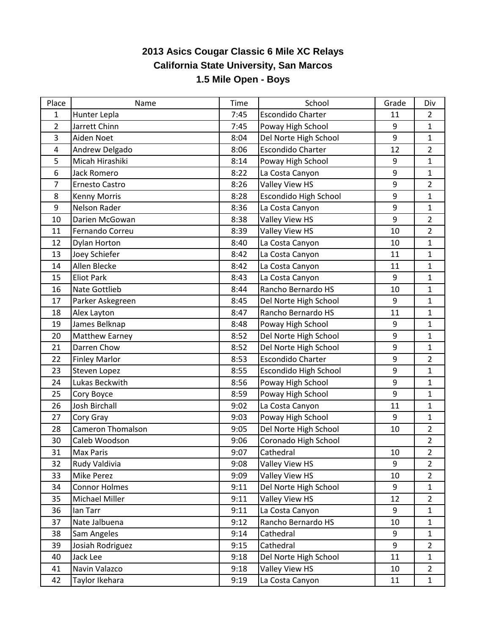## **2013 Asics Cougar Classic 6 Mile XC Relays California State University, San Marcos 1.5 Mile Open - Boys**

| Place          | Name                     | Time | School                       | Grade | Div            |
|----------------|--------------------------|------|------------------------------|-------|----------------|
| 1              | Hunter Lepla             | 7:45 | <b>Escondido Charter</b>     | 11    | $\overline{2}$ |
| 2              | Jarrett Chinn            | 7:45 | Poway High School            | 9     | $\mathbf{1}$   |
| 3              | Aiden Noet               | 8:04 | Del Norte High School        | 9     | $\mathbf{1}$   |
| 4              | Andrew Delgado           | 8:06 | <b>Escondido Charter</b>     | 12    | $\overline{2}$ |
| 5              | Micah Hirashiki          | 8:14 | Poway High School            | 9     | $\mathbf{1}$   |
| 6              | <b>Jack Romero</b>       | 8:22 | La Costa Canyon              | 9     | $\mathbf{1}$   |
| $\overline{7}$ | Ernesto Castro           | 8:26 | Valley View HS               | 9     | $\overline{2}$ |
| 8              | <b>Kenny Morris</b>      | 8:28 | Escondido High School        | 9     | $\mathbf{1}$   |
| 9              | Nelson Rader             | 8:36 | La Costa Canyon              | 9     | $\mathbf{1}$   |
| 10             | Darien McGowan           | 8:38 | Valley View HS               | 9     | $\overline{2}$ |
| 11             | Fernando Correu          | 8:39 | Valley View HS               | 10    | $\overline{2}$ |
| 12             | <b>Dylan Horton</b>      | 8:40 | La Costa Canyon              | 10    | $\mathbf{1}$   |
| 13             | Joey Schiefer            | 8:42 | La Costa Canyon              | 11    | $\mathbf{1}$   |
| 14             | Allen Blecke             | 8:42 | La Costa Canyon              | 11    | $\mathbf{1}$   |
| 15             | <b>Eliot Park</b>        | 8:43 | La Costa Canyon              | 9     | $\mathbf{1}$   |
| 16             | <b>Nate Gottlieb</b>     | 8:44 | Rancho Bernardo HS           | 10    | $\mathbf{1}$   |
| 17             | Parker Askegreen         | 8:45 | Del Norte High School        | 9     | $\mathbf{1}$   |
| 18             | Alex Layton              | 8:47 | Rancho Bernardo HS           | 11    | $\mathbf{1}$   |
| 19             | James Belknap            | 8:48 | Poway High School            | 9     | $\mathbf{1}$   |
| 20             | <b>Matthew Earney</b>    | 8:52 | Del Norte High School        | 9     | $\mathbf{1}$   |
| 21             | Darren Chow              | 8:52 | Del Norte High School        | 9     | $\mathbf{1}$   |
| 22             | <b>Finley Marlor</b>     | 8:53 | <b>Escondido Charter</b>     | 9     | $\overline{2}$ |
| 23             | Steven Lopez             | 8:55 | <b>Escondido High School</b> | 9     | $\mathbf{1}$   |
| 24             | Lukas Beckwith           | 8:56 | Poway High School            | 9     | $\mathbf{1}$   |
| 25             | Cory Boyce               | 8:59 | Poway High School            | 9     | $\mathbf{1}$   |
| 26             | Josh Birchall            | 9:02 | La Costa Canyon              | 11    | $\mathbf{1}$   |
| 27             | Cory Gray                | 9:03 | Poway High School            | 9     | $\mathbf{1}$   |
| 28             | <b>Cameron Thomalson</b> | 9:05 | Del Norte High School        | 10    | $\overline{2}$ |
| 30             | Caleb Woodson            | 9:06 | Coronado High School         |       | $\overline{2}$ |
| 31             | <b>Max Paris</b>         | 9:07 | Cathedral                    | 10    | $\overline{2}$ |
| 32             | Rudy Valdivia            | 9:08 | Valley View HS               | 9     | $\overline{2}$ |
| 33             | <b>Mike Perez</b>        | 9:09 | Valley View HS               | 10    | $\overline{2}$ |
| 34             | <b>Connor Holmes</b>     | 9:11 | Del Norte High School        | 9     | $\mathbf{1}$   |
| 35             | Michael Miller           | 9:11 | Valley View HS               | 12    | $\overline{2}$ |
| 36             | lan Tarr                 | 9:11 | La Costa Canyon              | 9     | $\mathbf{1}$   |
| 37             | Nate Jalbuena            | 9:12 | Rancho Bernardo HS           | 10    | $\mathbf{1}$   |
| 38             | Sam Angeles              | 9:14 | Cathedral                    | 9     | $\mathbf{1}$   |
| 39             | Josiah Rodriguez         | 9:15 | Cathedral                    | 9     | $\overline{2}$ |
| 40             | Jack Lee                 | 9:18 | Del Norte High School        | 11    | $\mathbf{1}$   |
| 41             | Navin Valazco            | 9:18 | Valley View HS               | 10    | $\overline{2}$ |
| 42             | Taylor Ikehara           | 9:19 | La Costa Canyon              | 11    | $\mathbf{1}$   |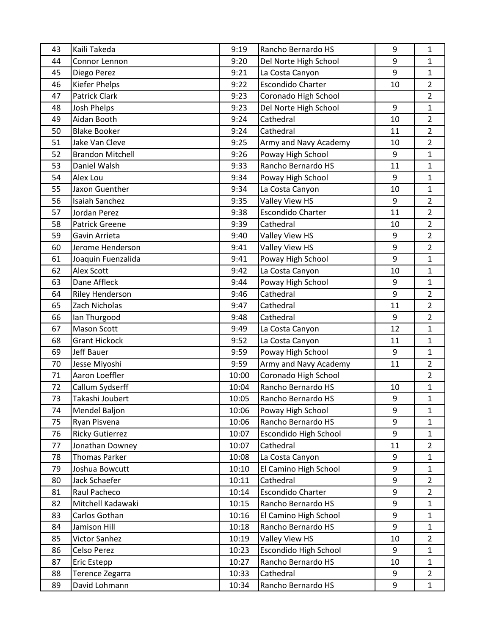| 43 | Kaili Takeda            | 9:19  | Rancho Bernardo HS       | 9                | $\mathbf{1}$   |
|----|-------------------------|-------|--------------------------|------------------|----------------|
| 44 | Connor Lennon           | 9:20  | Del Norte High School    | 9                | $\mathbf{1}$   |
| 45 | Diego Perez             | 9:21  | La Costa Canyon          | 9                | $\mathbf{1}$   |
| 46 | Kiefer Phelps           | 9:22  | <b>Escondido Charter</b> | 10               | $\overline{2}$ |
| 47 | <b>Patrick Clark</b>    | 9:23  | Coronado High School     |                  | $\overline{2}$ |
| 48 | <b>Josh Phelps</b>      | 9:23  | Del Norte High School    | 9                | $\mathbf{1}$   |
| 49 | Aidan Booth             | 9:24  | Cathedral                | 10               | $\overline{2}$ |
| 50 | <b>Blake Booker</b>     | 9:24  | Cathedral                | 11               | $\overline{2}$ |
| 51 | Jake Van Cleve          | 9:25  | Army and Navy Academy    | 10               | $\overline{2}$ |
| 52 | <b>Brandon Mitchell</b> | 9:26  | Poway High School        | 9                | $\mathbf{1}$   |
| 53 | Daniel Walsh            | 9:33  | Rancho Bernardo HS       | 11               | $\mathbf{1}$   |
| 54 | Alex Lou                | 9:34  | Poway High School        | 9                | $\mathbf{1}$   |
| 55 | Jaxon Guenther          | 9:34  | La Costa Canyon          | 10               | $\mathbf{1}$   |
| 56 | Isaiah Sanchez          | 9:35  | Valley View HS           | 9                | $\overline{2}$ |
| 57 | Jordan Perez            | 9:38  | <b>Escondido Charter</b> | 11               | $\overline{2}$ |
| 58 | <b>Patrick Greene</b>   | 9:39  | Cathedral                | 10               | $\overline{2}$ |
| 59 | Gavin Arrieta           | 9:40  | Valley View HS           | $\boldsymbol{9}$ | $\overline{2}$ |
| 60 | Jerome Henderson        | 9:41  | Valley View HS           | 9                | $\overline{2}$ |
| 61 | Joaquin Fuenzalida      | 9:41  | Poway High School        | 9                | $\mathbf{1}$   |
| 62 | <b>Alex Scott</b>       | 9:42  | La Costa Canyon          | 10               | $\mathbf{1}$   |
| 63 | Dane Affleck            | 9:44  | Poway High School        | $\boldsymbol{9}$ | $\mathbf{1}$   |
| 64 | <b>Riley Henderson</b>  | 9:46  | Cathedral                | 9                | $\overline{2}$ |
| 65 | Zach Nicholas           | 9:47  | Cathedral                | 11               | $\overline{2}$ |
| 66 | Ian Thurgood            | 9:48  | Cathedral                | 9                | $\overline{2}$ |
| 67 | <b>Mason Scott</b>      | 9:49  | La Costa Canyon          | 12               | $\mathbf{1}$   |
| 68 | <b>Grant Hickock</b>    | 9:52  | La Costa Canyon          | 11               | $\mathbf{1}$   |
| 69 | <b>Jeff Bauer</b>       | 9:59  | Poway High School        | 9                | $\mathbf{1}$   |
| 70 | Jesse Miyoshi           | 9:59  | Army and Navy Academy    | 11               | $\overline{2}$ |
| 71 | Aaron Loeffler          | 10:00 | Coronado High School     |                  | $\overline{2}$ |
| 72 | Callum Sydserff         | 10:04 | Rancho Bernardo HS       | 10               | $\mathbf{1}$   |
| 73 | Takashi Joubert         | 10:05 | Rancho Bernardo HS       | 9                | $\mathbf{1}$   |
| 74 | Mendel Baljon           | 10:06 | Poway High School        | 9                | $\mathbf{1}$   |
| 75 | Ryan Pisvena            | 10:06 | Rancho Bernardo HS       | 9                | $\mathbf{1}$   |
| 76 | <b>Ricky Gutierrez</b>  | 10:07 | Escondido High School    | 9                | $\mathbf{1}$   |
| 77 | Jonathan Downey         | 10:07 | Cathedral                | 11               | $\overline{2}$ |
| 78 | <b>Thomas Parker</b>    | 10:08 | La Costa Canyon          | 9                | $\mathbf{1}$   |
| 79 | Joshua Bowcutt          | 10:10 | El Camino High School    | 9                | $\mathbf{1}$   |
| 80 | Jack Schaefer           | 10:11 | Cathedral                | 9                | $\overline{2}$ |
| 81 | Raul Pacheco            | 10:14 | <b>Escondido Charter</b> | 9                | $\overline{2}$ |
| 82 | Mitchell Kadawaki       | 10:15 | Rancho Bernardo HS       | 9                | $\mathbf{1}$   |
| 83 | Carlos Gothan           | 10:16 | El Camino High School    | $\boldsymbol{9}$ | $\mathbf{1}$   |
| 84 | Jamison Hill            | 10:18 | Rancho Bernardo HS       | 9                | $\mathbf{1}$   |
| 85 | Victor Sanhez           | 10:19 | Valley View HS           | 10               | $\overline{2}$ |
| 86 | Celso Perez             | 10:23 | Escondido High School    | 9                | $\mathbf{1}$   |
| 87 | Eric Estepp             | 10:27 | Rancho Bernardo HS       | 10               | $\mathbf{1}$   |
| 88 | Terence Zegarra         | 10:33 | Cathedral                | 9                | $\overline{2}$ |
| 89 | David Lohmann           | 10:34 | Rancho Bernardo HS       | 9                | $\mathbf{1}$   |